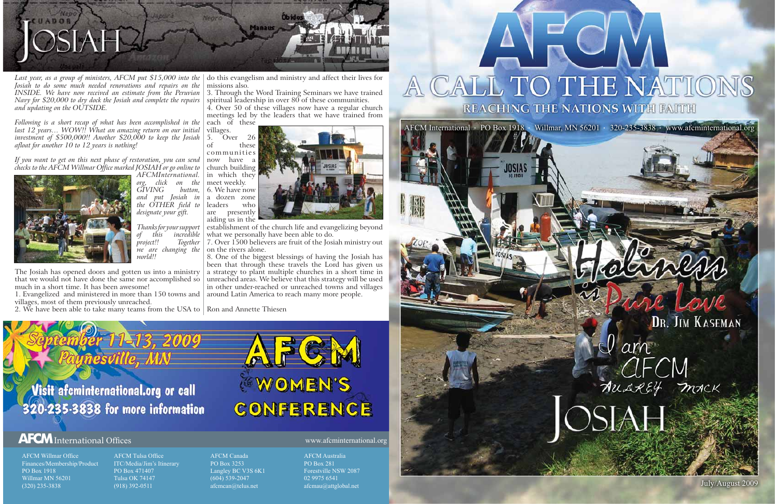

# DR. JIM KASEMAN

am AUAREY MACK

July/August 2009



Last year, as a group of ministers, AFCM put \$15,000 into the | do this evangelism and ministry and affect their lives for *Josiah to do some much needed renovations and repairs on the Navy for \$20,000 to dry dock the Josiah and complete the repairs and updating on the OUTSIDE.*

*Following is a short recap of what has been accomplished in the last 12 years… WOW!! What an amazing return on our initial investment of \$500,000!! Another \$20,000 to keep the Josiah afloat for another 10 to 12 years is nothing!*

1. Evangelized and ministered in more than 150 towns and | around Latin America to reach many more people. villages, most of them previously unreached.

*If you want to get on this next phase of restoration, you can send checks to the AFCM Willmar Office marked JOSIAH or go online to* 



*AFCMInternational. org, click on the GIVING and put Josiah in the OTHER field to designate your gift.*

3. Through the Word Training Seminars we have trained spiritual leadership in over  $80$  of these communities.

*Thanks for your support of this incredible Together we are changing the world!!*

The Josiah has opened doors and gotten us into a ministry that we would not have done the same nor accomplished so much in a short time. It has been awesome!

establishment of the church life and evangelizing beyond what we personally have been able to do.

www.afcminternational.org

# $TC$ A CALL TO THE NATION REACHING THE NATIONS WITH FAITH

AFCM Willmar OfficeFinances/Membership/Product PO Box 1918Willmar MN 56201(320) 235-3838

AFCM Tulsa OfficeITC/Media/Jim's Itinerary PO Box 471407Tulsa OK 74147(918) 392-0511

AFCM CanadaPO Box 3253Langley BC V3S 6K1 (604) 539-2047 afcmcan@telus.net

AFCM AustraliaPO Box 281Forestville NSW 2087 02 9975 6541

afcmau@attglobal.net

# **AFCM**International Offices

missions also.

4. Over 50 of these villages now have a regular church meetings led by the leaders that we have trained from each of these

villages.<br>5. Ov  $\degree$ Over 26 of these communities now have a church building in which they meet weekly. 6. We have now a dozen zone leaders who are presently aiding us in the



2. We have been able to take many teams from the USA to Ron and Annette Thiesen

7. Over 1500 believers are fruit of the Josiah ministry out on the rivers alone.

8. One of the biggest blessings of having the Josiah has been that through these travels the Lord has given us a strategy to plant multiple churches in a short time in unreached areas. We believe that this strategy will be used in other under-reached or unreached towns and villages

Visit afcminternational.org or call 320-235-3838 for more information